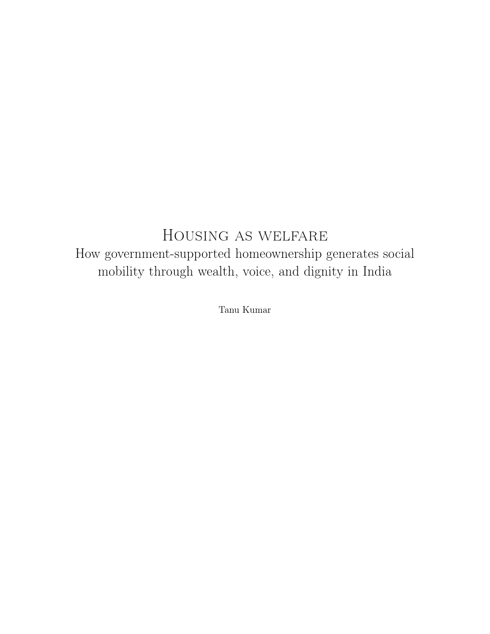## Housing as welfare How government-supported homeownership generates social mobility through wealth, voice, and dignity in India

Tanu Kumar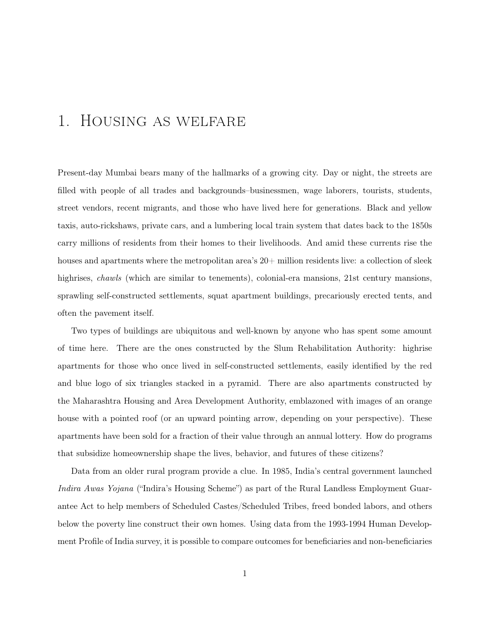# 1. Housing as welfare

Present-day Mumbai bears many of the hallmarks of a growing city. Day or night, the streets are filled with people of all trades and backgrounds–businessmen, wage laborers, tourists, students, street vendors, recent migrants, and those who have lived here for generations. Black and yellow taxis, auto-rickshaws, private cars, and a lumbering local train system that dates back to the 1850s carry millions of residents from their homes to their livelihoods. And amid these currents rise the houses and apartments where the metropolitan area's  $20+$  million residents live: a collection of sleek highrises, *chawls* (which are similar to tenements), colonial-era mansions, 21st century mansions, sprawling self-constructed settlements, squat apartment buildings, precariously erected tents, and often the pavement itself.

Two types of buildings are ubiquitous and well-known by anyone who has spent some amount of time here. There are the ones constructed by the Slum Rehabilitation Authority: highrise apartments for those who once lived in self-constructed settlements, easily identified by the red and blue logo of six triangles stacked in a pyramid. There are also apartments constructed by the Maharashtra Housing and Area Development Authority, emblazoned with images of an orange house with a pointed roof (or an upward pointing arrow, depending on your perspective). These apartments have been sold for a fraction of their value through an annual lottery. How do programs that subsidize homeownership shape the lives, behavior, and futures of these citizens?

Data from an older rural program provide a clue. In 1985, India's central government launched *Indira Awas Yojana* ("Indira's Housing Scheme") as part of the Rural Landless Employment Guarantee Act to help members of Scheduled Castes/Scheduled Tribes, freed bonded labors, and others below the poverty line construct their own homes. Using data from the 1993-1994 Human Development Profile of India survey, it is possible to compare outcomes for beneficiaries and non-beneficiaries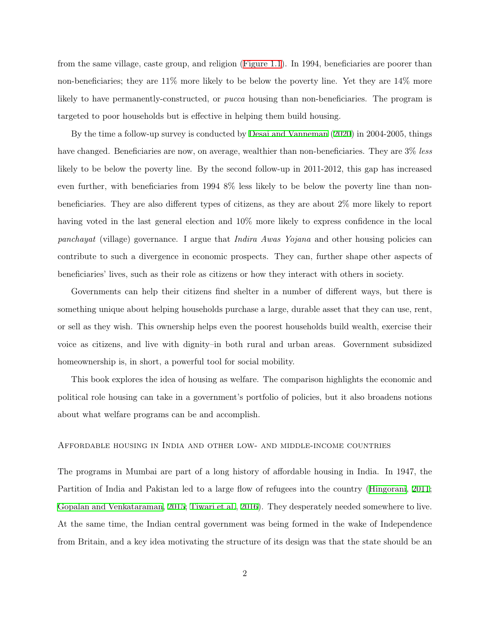from the same village, caste group, and religion ([Figure 1.1\)](#page-3-0). In 1994, beneficiaries are poorer than non-beneficiaries; they are 11% more likely to be below the poverty line. Yet they are 14% more likely to have permanently-constructed, or *pucca* housing than non-beneficiaries. The program is targeted to poor households but is effective in helping them build housing.

By the time a follow-up survey is conducted by [Desai and Vanneman](#page-26-0) [\(2020\)](#page-26-0) in 2004-2005, things have changed. Beneficiaries are now, on average, wealthier than non-beneficiaries. They are 3% *less* likely to be below the poverty line. By the second follow-up in 2011-2012, this gap has increased even further, with beneficiaries from 1994 8% less likely to be below the poverty line than nonbeneficiaries. They are also different types of citizens, as they are about 2% more likely to report having voted in the last general election and  $10\%$  more likely to express confidence in the local *panchayat* (village) governance. I argue that *Indira Awas Yojana* and other housing policies can contribute to such a divergence in economic prospects. They can, further shape other aspects of beneficiaries' lives, such as their role as citizens or how they interact with others in society.

Governments can help their citizens find shelter in a number of different ways, but there is something unique about helping households purchase a large, durable asset that they can use, rent, or sell as they wish. This ownership helps even the poorest households build wealth, exercise their voice as citizens, and live with dignity–in both rural and urban areas. Government subsidized homeownership is, in short, a powerful tool for social mobility.

This book explores the idea of housing as welfare. The comparison highlights the economic and political role housing can take in a government's portfolio of policies, but it also broadens notions about what welfare programs can be and accomplish.

#### Affordable housing in India and other low- and middle-income countries

The programs in Mumbai are part of a long history of affordable housing in India. In 1947, the Partition of India and Pakistan led to a large flow of refugees into the country [\(Hingorani](#page-28-0), [2011;](#page-28-0) [Gopalan and Venkataraman,](#page-27-0) [2015](#page-27-0); [Tiwari et al.,](#page-29-0) [2016](#page-29-0)). They desperately needed somewhere to live. At the same time, the Indian central government was being formed in the wake of Independence from Britain, and a key idea motivating the structure of its design was that the state should be an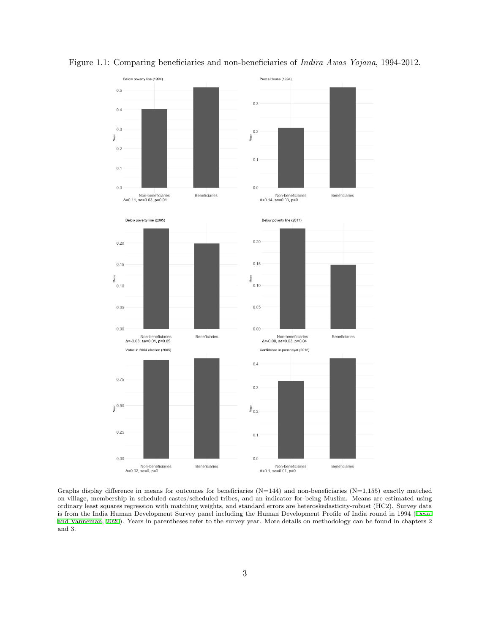

<span id="page-3-0"></span>Figure 1.1: Comparing beneficiaries and non-beneficiaries of *Indira Awas Yojana*, 1994-2012.

Graphs display difference in means for outcomes for beneficiaries  $(N=144)$  and non-beneficiaries  $(N=1,155)$  exactly matched on village, membership in scheduled castes/scheduled tribes, and an indicator for being Muslim. Means are estimated using ordinary least squares regression with matching weights, and standard errors are heteroskedasticity-robust (HC2). Survey data is from the India Human Development Survey panel including the Human Development Profile of India round in 1994 ([Desai](#page-26-0) [and Vanneman,](#page-26-0) [2020\)](#page-26-0). Years in parentheses refer to the survey year. More details on methodology can be found in chapters 2 and 3.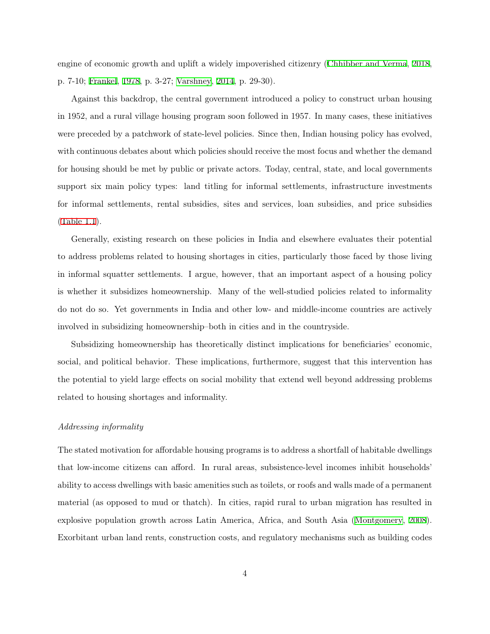engine of economic growth and uplift a widely impoverished citizenry ([Chhibber and Verma,](#page-25-0) [2018,](#page-25-0) p. 7-10; [Frankel](#page-27-1), [1978,](#page-27-1) p. 3-27; [Varshney](#page-29-1), [2014](#page-29-1), p. 29-30).

Against this backdrop, the central government introduced a policy to construct urban housing in 1952, and a rural village housing program soon followed in 1957. In many cases, these initiatives were preceded by a patchwork of state-level policies. Since then, Indian housing policy has evolved, with continuous debates about which policies should receive the most focus and whether the demand for housing should be met by public or private actors. Today, central, state, and local governments support six main policy types: land titling for informal settlements, infrastructure investments for informal settlements, rental subsidies, sites and services, loan subsidies, and price subsidies [\(Table 1.1\)](#page-6-0).

Generally, existing research on these policies in India and elsewhere evaluates their potential to address problems related to housing shortages in cities, particularly those faced by those living in informal squatter settlements. I argue, however, that an important aspect of a housing policy is whether it subsidizes homeownership. Many of the well-studied policies related to informality do not do so. Yet governments in India and other low- and middle-income countries are actively involved in subsidizing homeownership–both in cities and in the countryside.

Subsidizing homeownership has theoretically distinct implications for beneficiaries' economic, social, and political behavior. These implications, furthermore, suggest that this intervention has the potential to yield large effects on social mobility that extend well beyond addressing problems related to housing shortages and informality.

#### *Addressing informality*

The stated motivation for affordable housing programs is to address a shortfall of habitable dwellings that low-income citizens can afford. In rural areas, subsistence-level incomes inhibit households' ability to access dwellings with basic amenities such as toilets, or roofs and walls made of a permanent material (as opposed to mud or thatch). In cities, rapid rural to urban migration has resulted in explosive population growth across Latin America, Africa, and South Asia [\(Montgomery](#page-28-1), [2008\)](#page-28-1). Exorbitant urban land rents, construction costs, and regulatory mechanisms such as building codes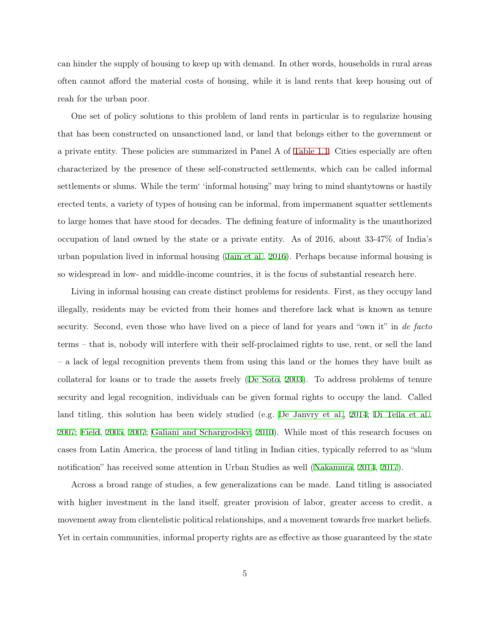can hinder the supply of housing to keep up with demand. In other words, households in rural areas often cannot afford the material costs of housing, while it is land rents that keep housing out of reah for the urban poor.

One set of policy solutions to this problem of land rents in particular is to regularize housing that has been constructed on unsanctioned land, or land that belongs either to the government or a private entity. These policies are summarized in Panel A of [Table 1.1.](#page-6-0) Cities especially are often characterized by the presence of these self-constructed settlements, which can be called informal settlements or slums. While the term' 'informal housing" may bring to mind shantytowns or hastily erected tents, a variety of types of housing can be informal, from impermanent squatter settlements to large homes that have stood for decades. The defining feature of informality is the unauthorized occupation of land owned by the state or a private entity. As of 2016, about 33-47% of India's urban population lived in informal housing ([Jain et al.](#page-28-2), [2016](#page-28-2)). Perhaps because informal housing is so widespread in low- and middle-income countries, it is the focus of substantial research here.

Living in informal housing can create distinct problems for residents. First, as they occupy land illegally, residents may be evicted from their homes and therefore lack what is known as tenure security. Second, even those who have lived on a piece of land for years and "own it" in *de facto* terms – that is, nobody will interfere with their self-proclaimed rights to use, rent, or sell the land – a lack of legal recognition prevents them from using this land or the homes they have built as collateral for loans or to trade the assets freely ([De Soto,](#page-26-1) [2003](#page-26-1)). To address problems of tenure security and legal recognition, individuals can be given formal rights to occupy the land. Called land titling, this solution has been widely studied (e.g. [De Janvry et al.](#page-26-2), [2014;](#page-26-2) [Di Tella et al.,](#page-26-3) [2007;](#page-26-3) [Field,](#page-26-4) [2005,](#page-26-4) [2007](#page-27-2); [Galiani and Schargrodsky,](#page-27-3) [2010\)](#page-27-3). While most of this research focuses on cases from Latin America, the process of land titling in Indian cities, typically referred to as "slum notification" has received some attention in Urban Studies as well [\(Nakamura,](#page-28-3) [2014](#page-28-3), [2017](#page-28-4)).

Across a broad range of studies, a few generalizations can be made. Land titling is associated with higher investment in the land itself, greater provision of labor, greater access to credit, a movement away from clientelistic political relationships, and a movement towards free market beliefs. Yet in certain communities, informal property rights are as effective as those guaranteed by the state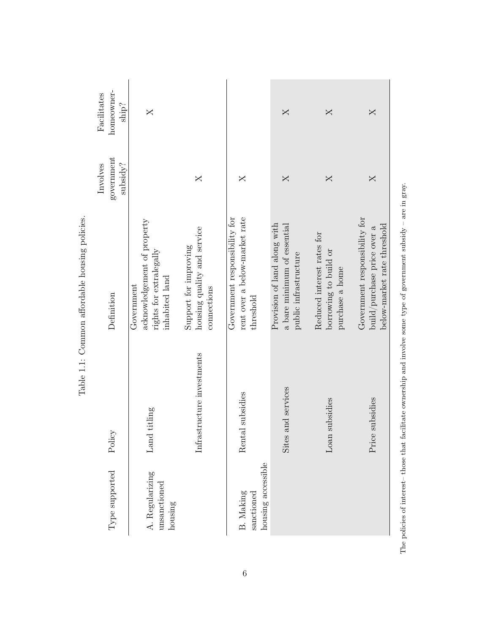| homeowner-<br>Facilitates<br>$\sin^2$ | $\times$                                                                               |                                                                     |                                                                             | $\times$                                                                             | $\times$                                                               | $\times$                                                                                    |
|---------------------------------------|----------------------------------------------------------------------------------------|---------------------------------------------------------------------|-----------------------------------------------------------------------------|--------------------------------------------------------------------------------------|------------------------------------------------------------------------|---------------------------------------------------------------------------------------------|
| government<br>subsidy?<br>Involves    |                                                                                        | X                                                                   | X                                                                           | $\times$                                                                             | X                                                                      | $\times$                                                                                    |
| Definition                            | acknowledgement of property<br>rights for extralegally<br>inhabited land<br>Government | housing quality and service<br>Support for improving<br>connections | rent over a below-market rate<br>Government responsibility for<br>threshold | Provision of land along with<br>a bare minimum of essential<br>public infrastructure | Reduced interest rates for<br>borrowing to build or<br>purchase a home | Government responsibility for<br>below-market rate threshold<br>build/purchase price over a |
| icy<br>Poli                           | Land titling                                                                           | Infrastructure investments                                          | Rental subsidies                                                            | Sites and services                                                                   | Loan subsidies                                                         | Price subsidies                                                                             |
| $Type$ supported                      | A. Regularizing<br>unsanctioned<br>housing                                             |                                                                     | housing accessible<br>B. Making<br>sanctioned                               |                                                                                      |                                                                        |                                                                                             |

<span id="page-6-0"></span>Table 1.1: Common affordable housing policies. Table 1.1: Common affordable housing policies.

The policies of interest-those that facilitate ownership and involve some type of government subsidy - are in gray. The policies of interest– those that facilitate ownership and involve some type of government subsidy – are in gray.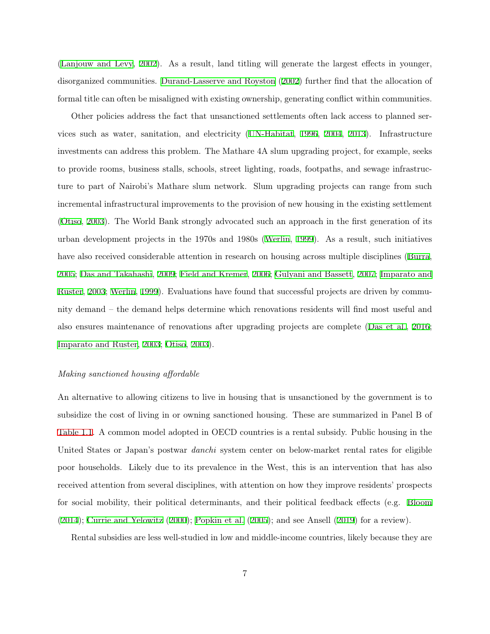[\(Lanjouw and Levy](#page-28-5), [2002\)](#page-28-5). As a result, land titling will generate the largest effects in younger, disorganized communities. [Durand-Lasserve and Royston](#page-26-5) [\(2002\)](#page-26-5) further find that the allocation of formal title can often be misaligned with existing ownership, generating conflict within communities.

Other policies address the fact that unsanctioned settlements often lack access to planned services such as water, sanitation, and electricity ([UN-Habitat](#page-29-2), [1996](#page-29-2), [2004](#page-29-3), [2013](#page-29-4)). Infrastructure investments can address this problem. The Mathare 4A slum upgrading project, for example, seeks to provide rooms, business stalls, schools, street lighting, roads, footpaths, and sewage infrastructure to part of Nairobi's Mathare slum network. Slum upgrading projects can range from such incremental infrastructural improvements to the provision of new housing in the existing settlement [\(Otiso,](#page-28-6) [2003](#page-28-6)). The World Bank strongly advocated such an approach in the first generation of its urban development projects in the 1970s and 1980s [\(Werlin](#page-29-5), [1999\)](#page-29-5). As a result, such initiatives have also received considerable attention in research on housing across multiple disciplines [\(Burra,](#page-25-1) [2005;](#page-25-1) [Das and Takahashi](#page-26-6), [2009;](#page-26-6) [Field and Kremer](#page-27-4), [2006](#page-27-4); [Gulyani and Bassett,](#page-27-5) [2007;](#page-27-5) [Imparato and](#page-28-7) [Ruster,](#page-28-7) [2003;](#page-28-7) [Werlin](#page-29-5), [1999](#page-29-5)). Evaluations have found that successful projects are driven by community demand – the demand helps determine which renovations residents will find most useful and also ensures maintenance of renovations after upgrading projects are complete ([Das et al.,](#page-26-7) [2016;](#page-26-7) [Imparato and Ruster,](#page-28-7) [2003](#page-28-7); [Otiso](#page-28-6), [2003\)](#page-28-6).

#### *Making sanctioned housing affordable*

An alternative to allowing citizens to live in housing that is unsanctioned by the government is to subsidize the cost of living in or owning sanctioned housing. These are summarized in Panel B of [Table 1.1.](#page-6-0) A common model adopted in OECD countries is a rental subsidy. Public housing in the United States or Japan's postwar *danchi* system center on below-market rental rates for eligible poor households. Likely due to its prevalence in the West, this is an intervention that has also received attention from several disciplines, with attention on how they improve residents' prospects for social mobility, their political determinants, and their political feedback effects (e.g. [Bloom](#page-25-2) [\(2014\)](#page-25-2); [Currie and Yelowitz](#page-25-3) ([2000](#page-25-3)); [Popkin et al.](#page-29-6) ([2005\)](#page-29-6); and see Ansell [\(2019\)](#page-25-4) for a review).

Rental subsidies are less well-studied in low and middle-income countries, likely because they are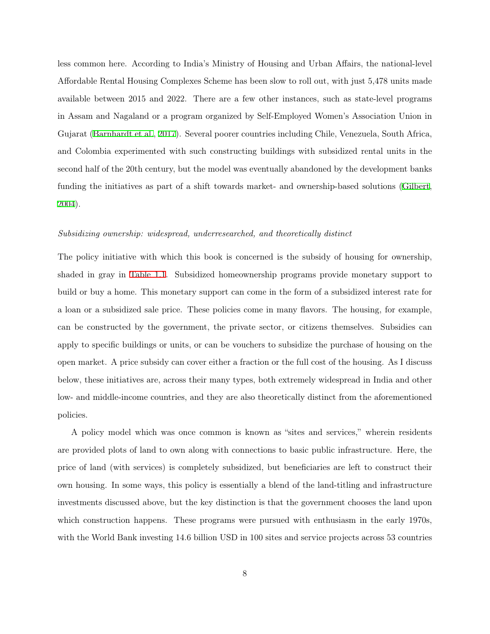less common here. According to India's Ministry of Housing and Urban Affairs, the national-level Affordable Rental Housing Complexes Scheme has been slow to roll out, with just 5,478 units made available between 2015 and 2022. There are a few other instances, such as state-level programs in Assam and Nagaland or a program organized by Self-Employed Women's Association Union in Gujarat [\(Barnhardt et al.,](#page-25-5) [2017\)](#page-25-5). Several poorer countries including Chile, Venezuela, South Africa, and Colombia experimented with such constructing buildings with subsidized rental units in the second half of the 20th century, but the model was eventually abandoned by the development banks funding the initiatives as part of a shift towards market- and ownership-based solutions ([Gilbert,](#page-27-6) [2004\)](#page-27-6).

#### *Subsidizing ownership: widespread, underresearched, and theoretically distinct*

The policy initiative with which this book is concerned is the subsidy of housing for ownership, shaded in gray in [Table 1.1](#page-6-0). Subsidized homeownership programs provide monetary support to build or buy a home. This monetary support can come in the form of a subsidized interest rate for a loan or a subsidized sale price. These policies come in many flavors. The housing, for example, can be constructed by the government, the private sector, or citizens themselves. Subsidies can apply to specific buildings or units, or can be vouchers to subsidize the purchase of housing on the open market. A price subsidy can cover either a fraction or the full cost of the housing. As I discuss below, these initiatives are, across their many types, both extremely widespread in India and other low- and middle-income countries, and they are also theoretically distinct from the aforementioned policies.

A policy model which was once common is known as "sites and services," wherein residents are provided plots of land to own along with connections to basic public infrastructure. Here, the price of land (with services) is completely subsidized, but beneficiaries are left to construct their own housing. In some ways, this policy is essentially a blend of the land-titling and infrastructure investments discussed above, but the key distinction is that the government chooses the land upon which construction happens. These programs were pursued with enthusiasm in the early 1970s, with the World Bank investing 14.6 billion USD in 100 sites and service projects across 53 countries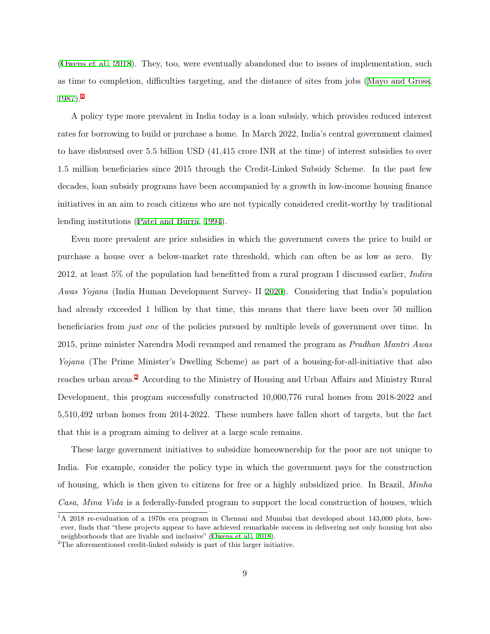[\(Owens et al.](#page-28-8), [2018\)](#page-28-8). They, too, were eventually abandoned due to issues of implementation, such as time to completion, difficulties targeting, and the distance of sites from jobs ([Mayo and Gross,](#page-28-9) [1987\)](#page-28-9).[1](#page-9-0)

A policy type more prevalent in India today is a loan subsidy, which provides reduced interest rates for borrowing to build or purchase a home. In March 2022, India's central government claimed to have disbursed over 5.5 billion USD (41,415 crore INR at the time) of interest subsidies to over 1.5 million beneficiaries since 2015 through the Credit-Linked Subsidy Scheme. In the past few decades, loan subsidy programs have been accompanied by a growth in low-income housing finance initiatives in an aim to reach citizens who are not typically considered credit-worthy by traditional lending institutions ([Patel and Burra](#page-28-10), [1994\)](#page-28-10).

Even more prevalent are price subsidies in which the government covers the price to build or purchase a house over a below-market rate threshold, which can often be as low as zero. By 2012, at least 5% of the population had benefitted from a rural program I discussed earlier, *Indira Awas Yojana* (India Human Development Survey- II [2020](#page-26-0)). Considering that India's population had already exceeded 1 billion by that time, this means that there have been over 50 million beneficiaries from *just one* of the policies pursued by multiple levels of government over time. In 2015, prime minister Narendra Modi revamped and renamed the program as *Pradhan Mantri Awas Yojana* (The Prime Minister's Dwelling Scheme) as part of a housing-for-all-initiative that also reaches urban areas.<sup>[2](#page-9-1)</sup> According to the Ministry of Housing and Urban Affairs and Ministry Rural Development, this program successfully constructed 10,000,776 rural homes from 2018-2022 and 5,510,492 urban homes from 2014-2022. These numbers have fallen short of targets, but the fact that this is a program aiming to deliver at a large scale remains.

These large government initiatives to subsidize homeownership for the poor are not unique to India. For example, consider the policy type in which the government pays for the construction of housing, which is then given to citizens for free or a highly subsidized price. In Brazil, *Minha Casa, Mina Vida* is a federally-funded program to support the local construction of houses, which

<span id="page-9-0"></span><sup>&</sup>lt;sup>1</sup>A 2018 re-evaluation of a 1970s era program in Chennai and Mumbai that developed about 143,000 plots, however, finds that "these projects appear to have achieved remarkable success in delivering not only housing but also neighborhoods that are livable and inclusive" ([Owens et al.,](#page-28-8) [2018\)](#page-28-8).

<span id="page-9-1"></span> $\rm{^2The}$  aforementioned credit-linked subsidy is part of this larger initiative.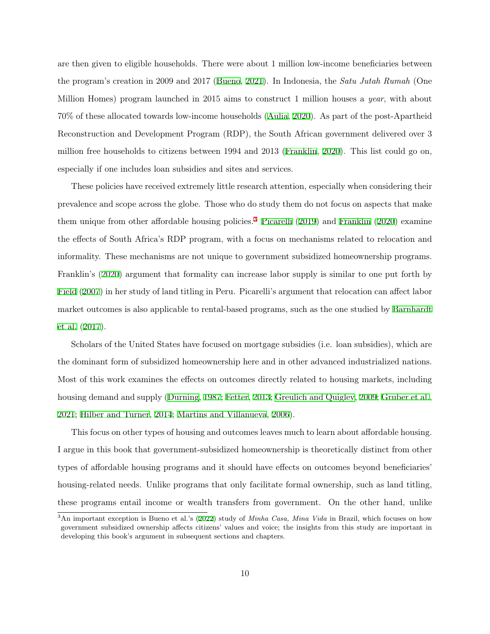are then given to eligible households. There were about 1 million low-income beneficiaries between the program's creation in 2009 and 2017 ([Bueno,](#page-25-6) [2021\)](#page-25-6). In Indonesia, the *Satu Jutah Rumah* (One Million Homes) program launched in 2015 aims to construct 1 million houses a *year*, with about 70% of these allocated towards low-income households [\(Aulia,](#page-25-7) [2020\)](#page-25-7). As part of the post-Apartheid Reconstruction and Development Program (RDP), the South African government delivered over 3 million free households to citizens between 1994 and 2013 ([Franklin](#page-27-7), [2020\)](#page-27-7). This list could go on, especially if one includes loan subsidies and sites and services.

These policies have received extremely little research attention, especially when considering their prevalence and scope across the globe. Those who do study them do not focus on aspects that make them unique from other affordable housing policies.[3](#page-10-0) [Picarelli](#page-29-7) [\(2019](#page-29-7)) and [Franklin](#page-27-7) ([2020](#page-27-7)) examine the effects of South Africa's RDP program, with a focus on mechanisms related to relocation and informality. These mechanisms are not unique to government subsidized homeownership programs. Franklin's ([2020\)](#page-27-7) argument that formality can increase labor supply is similar to one put forth by [Field](#page-27-2) [\(2007\)](#page-27-2) in her study of land titling in Peru. Picarelli's argument that relocation can affect labor market outcomes is also applicable to rental-based programs, such as the one studied by [Barnhardt](#page-25-5) [et al.](#page-25-5) ([2017\)](#page-25-5).

Scholars of the United States have focused on mortgage subsidies (i.e. loan subsidies), which are the dominant form of subsidized homeownership here and in other advanced industrialized nations. Most of this work examines the effects on outcomes directly related to housing markets, including housing demand and supply ([Durning,](#page-26-8) [1987](#page-26-8); [Fetter](#page-26-9), [2013;](#page-26-9) [Greulich and Quigley](#page-27-8), [2009;](#page-27-8) [Gruber et al.,](#page-27-9) [2021;](#page-27-9) [Hilber and Turner,](#page-27-10) [2014](#page-27-10); [Martins and Villanueva](#page-28-11), [2006\)](#page-28-11).

This focus on other types of housing and outcomes leaves much to learn about affordable housing. I argue in this book that government-subsidized homeownership is theoretically distinct from other types of affordable housing programs and it should have effects on outcomes beyond beneficiaries' housing-related needs. Unlike programs that only facilitate formal ownership, such as land titling, these programs entail income or wealth transfers from government. On the other hand, unlike

<span id="page-10-0"></span><sup>3</sup>An important exception is Bueno et al.'s [\(2022\)](#page-25-8) study of *Minha Casa, Mina Vida* in Brazil, which focuses on how government subsidized ownership affects citizens' values and voice; the insights from this study are important in developing this book's argument in subsequent sections and chapters.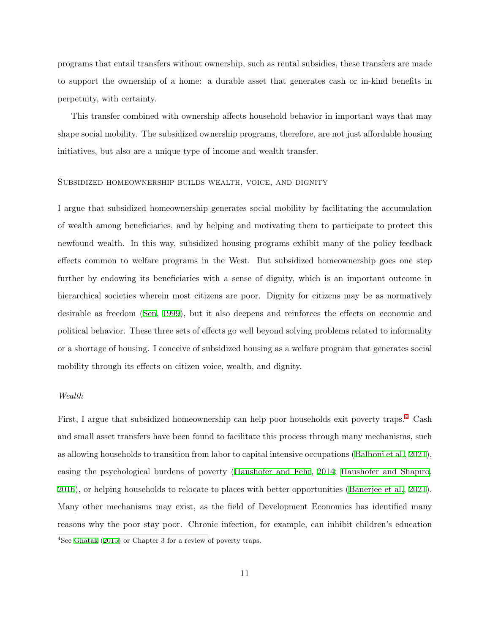programs that entail transfers without ownership, such as rental subsidies, these transfers are made to support the ownership of a home: a durable asset that generates cash or in-kind benefits in perpetuity, with certainty.

This transfer combined with ownership affects household behavior in important ways that may shape social mobility. The subsidized ownership programs, therefore, are not just affordable housing initiatives, but also are a unique type of income and wealth transfer.

#### Subsidized homeownership builds wealth, voice, and dignity

I argue that subsidized homeownership generates social mobility by facilitating the accumulation of wealth among beneficiaries, and by helping and motivating them to participate to protect this newfound wealth. In this way, subsidized housing programs exhibit many of the policy feedback effects common to welfare programs in the West. But subsidized homeownership goes one step further by endowing its beneficiaries with a sense of dignity, which is an important outcome in hierarchical societies wherein most citizens are poor. Dignity for citizens may be as normatively desirable as freedom ([Sen,](#page-29-8) [1999\)](#page-29-8), but it also deepens and reinforces the effects on economic and political behavior. These three sets of effects go well beyond solving problems related to informality or a shortage of housing. I conceive of subsidized housing as a welfare program that generates social mobility through its effects on citizen voice, wealth, and dignity.

#### *Wealth*

First, I argue that subsidized homeownership can help poor households exit poverty traps.[4](#page-11-0) Cash and small asset transfers have been found to facilitate this process through many mechanisms, such as allowing households to transition from labor to capital intensive occupations [\(Balboni et al.,](#page-25-9) [2021\)](#page-25-9), easing the psychological burdens of poverty ([Haushofer and Fehr,](#page-27-11) [2014](#page-27-11); [Haushofer and Shapiro,](#page-27-12) [2016\)](#page-27-12), or helping households to relocate to places with better opportunities ([Banerjee et al.,](#page-25-10) [2021\)](#page-25-10). Many other mechanisms may exist, as the field of Development Economics has identified many reasons why the poor stay poor. Chronic infection, for example, can inhibit children's education

<span id="page-11-0"></span><sup>4</sup>See [Ghatak](#page-27-13) [\(2015\)](#page-27-13) or Chapter 3 for a review of poverty traps.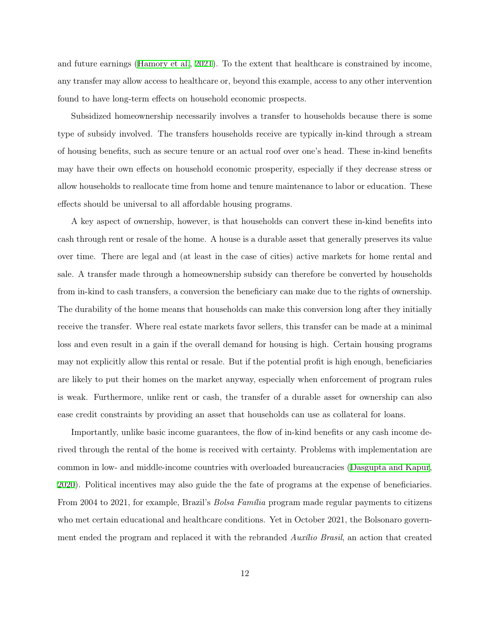and future earnings ([Hamory et al.](#page-27-14), [2021](#page-27-14)). To the extent that healthcare is constrained by income, any transfer may allow access to healthcare or, beyond this example, access to any other intervention found to have long-term effects on household economic prospects.

Subsidized homeownership necessarily involves a transfer to households because there is some type of subsidy involved. The transfers households receive are typically in-kind through a stream of housing benefits, such as secure tenure or an actual roof over one's head. These in-kind benefits may have their own effects on household economic prosperity, especially if they decrease stress or allow households to reallocate time from home and tenure maintenance to labor or education. These effects should be universal to all affordable housing programs.

A key aspect of ownership, however, is that households can convert these in-kind benefits into cash through rent or resale of the home. A house is a durable asset that generally preserves its value over time. There are legal and (at least in the case of cities) active markets for home rental and sale. A transfer made through a homeownership subsidy can therefore be converted by households from in-kind to cash transfers, a conversion the beneficiary can make due to the rights of ownership. The durability of the home means that households can make this conversion long after they initially receive the transfer. Where real estate markets favor sellers, this transfer can be made at a minimal loss and even result in a gain if the overall demand for housing is high. Certain housing programs may not explicitly allow this rental or resale. But if the potential profit is high enough, beneficiaries are likely to put their homes on the market anyway, especially when enforcement of program rules is weak. Furthermore, unlike rent or cash, the transfer of a durable asset for ownership can also ease credit constraints by providing an asset that households can use as collateral for loans.

Importantly, unlike basic income guarantees, the flow of in-kind benefits or any cash income derived through the rental of the home is received with certainty. Problems with implementation are common in low- and middle-income countries with overloaded bureaucracies ([Dasgupta and Kapur,](#page-26-10) [2020\)](#page-26-10). Political incentives may also guide the the fate of programs at the expense of beneficiaries. From 2004 to 2021, for example, Brazil's *Bolsa Família* program made regular payments to citizens who met certain educational and healthcare conditions. Yet in October 2021, the Bolsonaro government ended the program and replaced it with the rebranded *Auxílio Brasil*, an action that created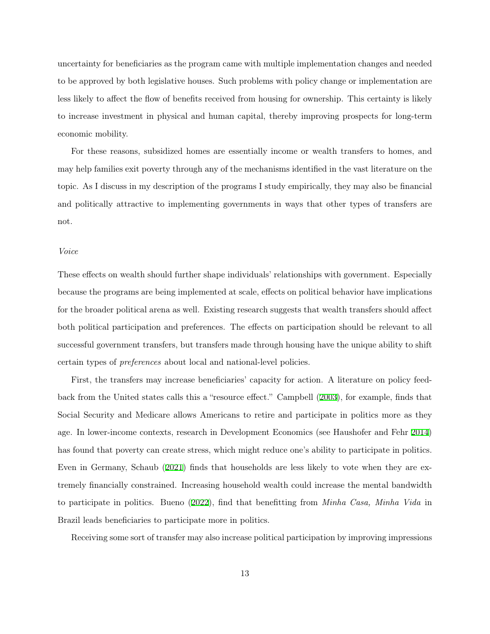uncertainty for beneficiaries as the program came with multiple implementation changes and needed to be approved by both legislative houses. Such problems with policy change or implementation are less likely to affect the flow of benefits received from housing for ownership. This certainty is likely to increase investment in physical and human capital, thereby improving prospects for long-term economic mobility.

For these reasons, subsidized homes are essentially income or wealth transfers to homes, and may help families exit poverty through any of the mechanisms identified in the vast literature on the topic. As I discuss in my description of the programs I study empirically, they may also be financial and politically attractive to implementing governments in ways that other types of transfers are not.

#### *Voice*

These effects on wealth should further shape individuals' relationships with government. Especially because the programs are being implemented at scale, effects on political behavior have implications for the broader political arena as well. Existing research suggests that wealth transfers should affect both political participation and preferences. The effects on participation should be relevant to all successful government transfers, but transfers made through housing have the unique ability to shift certain types of *preferences* about local and national-level policies.

First, the transfers may increase beneficiaries' capacity for action. A literature on policy feedback from the United states calls this a "resource effect." Campbell [\(2003](#page-25-11)), for example, finds that Social Security and Medicare allows Americans to retire and participate in politics more as they age. In lower-income contexts, research in Development Economics (see Haushofer and Fehr [2014\)](#page-27-11) has found that poverty can create stress, which might reduce one's ability to participate in politics. Even in Germany, Schaub ([2021](#page-29-9)) finds that households are less likely to vote when they are extremely financially constrained. Increasing household wealth could increase the mental bandwidth to participate in politics. Bueno ([2022\)](#page-25-8), find that benefitting from *Minha Casa, Minha Vida* in Brazil leads beneficiaries to participate more in politics.

Receiving some sort of transfer may also increase political participation by improving impressions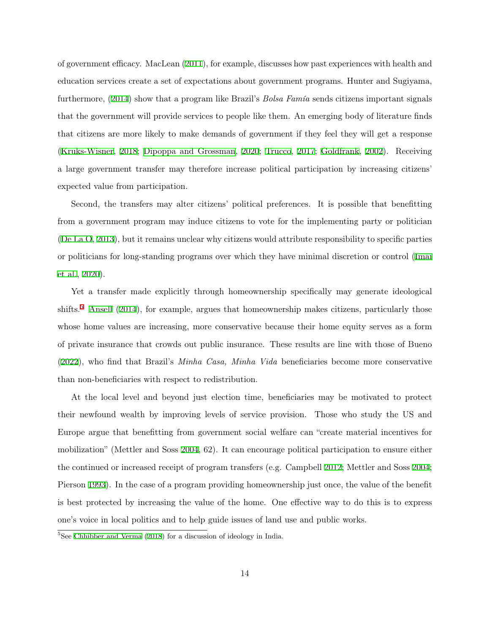of government efficacy. MacLean [\(2011](#page-28-12)), for example, discusses how past experiences with health and education services create a set of expectations about government programs. Hunter and Sugiyama, furthermore, ([2014\)](#page-28-13) show that a program like Brazil's *Bolsa Famía* sends citizens important signals that the government will provide services to people like them. An emerging body of literature finds that citizens are more likely to make demands of government if they feel they will get a response [\(Kruks-Wisner](#page-28-14), [2018;](#page-28-14) [Dipoppa and Grossman](#page-26-11), [2020;](#page-26-11) [Trucco,](#page-29-10) [2017;](#page-29-10) [Goldfrank](#page-27-15), [2002\)](#page-27-15). Receiving a large government transfer may therefore increase political participation by increasing citizens' expected value from participation.

Second, the transfers may alter citizens' political preferences. It is possible that benefitting from a government program may induce citizens to vote for the implementing party or politician [\(De La O](#page-26-12), [2013\)](#page-26-12), but it remains unclear why citizens would attribute responsibility to specific parties or politicians for long-standing programs over which they have minimal discretion or control ([Imai](#page-28-15) [et al.](#page-28-15), [2020](#page-28-15)).

Yet a transfer made explicitly through homeownership specifically may generate ideological shifts.<sup>[5](#page-14-0)</sup> [Ansell](#page-25-12)  $(2014)$  $(2014)$ , for example, argues that homeownership makes citizens, particularly those whose home values are increasing, more conservative because their home equity serves as a form of private insurance that crowds out public insurance. These results are line with those of Bueno [\(2022\)](#page-25-8), who find that Brazil's *Minha Casa, Minha Vida* beneficiaries become more conservative than non-beneficiaries with respect to redistribution.

At the local level and beyond just election time, beneficiaries may be motivated to protect their newfound wealth by improving levels of service provision. Those who study the US and Europe argue that benefitting from government social welfare can "create material incentives for mobilization" (Mettler and Soss [2004,](#page-28-16) 62). It can encourage political participation to ensure either the continued or increased receipt of program transfers (e.g. Campbell [2012](#page-25-13); Mettler and Soss [2004;](#page-28-16) Pierson [1993\)](#page-29-11). In the case of a program providing homeownership just once, the value of the benefit is best protected by increasing the value of the home. One effective way to do this is to express one's voice in local politics and to help guide issues of land use and public works.

<span id="page-14-0"></span><sup>&</sup>lt;sup>5</sup>See [Chhibber and Verma](#page-25-0) ([2018](#page-25-0)) for a discussion of ideology in India.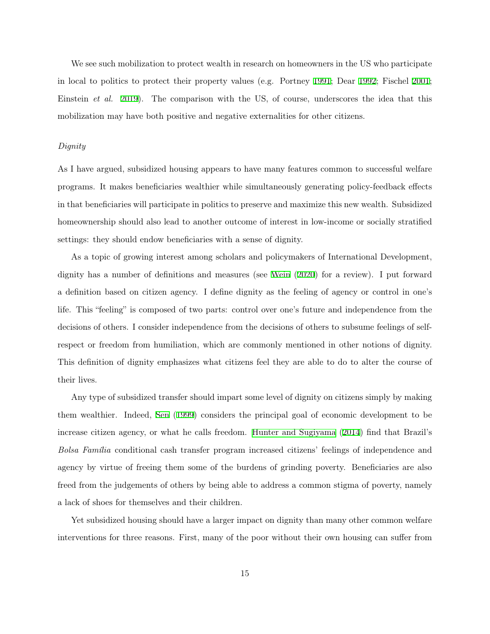We see such mobilization to protect wealth in research on homeowners in the US who participate in local to politics to protect their property values (e.g. Portney [1991](#page-29-12); Dear [1992](#page-26-13); Fischel [2001;](#page-27-16) Einstein *et al.* [2019\)](#page-26-14). The comparison with the US, of course, underscores the idea that this mobilization may have both positive and negative externalities for other citizens.

#### *Dignity*

As I have argued, subsidized housing appears to have many features common to successful welfare programs. It makes beneficiaries wealthier while simultaneously generating policy-feedback effects in that beneficiaries will participate in politics to preserve and maximize this new wealth. Subsidized homeownership should also lead to another outcome of interest in low-income or socially stratified settings: they should endow beneficiaries with a sense of dignity.

As a topic of growing interest among scholars and policymakers of International Development, dignity has a number of definitions and measures (see [Wein](#page-29-13) ([2020](#page-29-13)) for a review). I put forward a definition based on citizen agency. I define dignity as the feeling of agency or control in one's life. This "feeling" is composed of two parts: control over one's future and independence from the decisions of others. I consider independence from the decisions of others to subsume feelings of selfrespect or freedom from humiliation, which are commonly mentioned in other notions of dignity. This definition of dignity emphasizes what citizens feel they are able to do to alter the course of their lives.

Any type of subsidized transfer should impart some level of dignity on citizens simply by making them wealthier. Indeed, [Sen](#page-29-8) ([1999](#page-29-8)) considers the principal goal of economic development to be increase citizen agency, or what he calls freedom. [Hunter and Sugiyama](#page-28-13) [\(2014\)](#page-28-13) find that Brazil's *Bolsa Família* conditional cash transfer program increased citizens' feelings of independence and agency by virtue of freeing them some of the burdens of grinding poverty. Beneficiaries are also freed from the judgements of others by being able to address a common stigma of poverty, namely a lack of shoes for themselves and their children.

Yet subsidized housing should have a larger impact on dignity than many other common welfare interventions for three reasons. First, many of the poor without their own housing can suffer from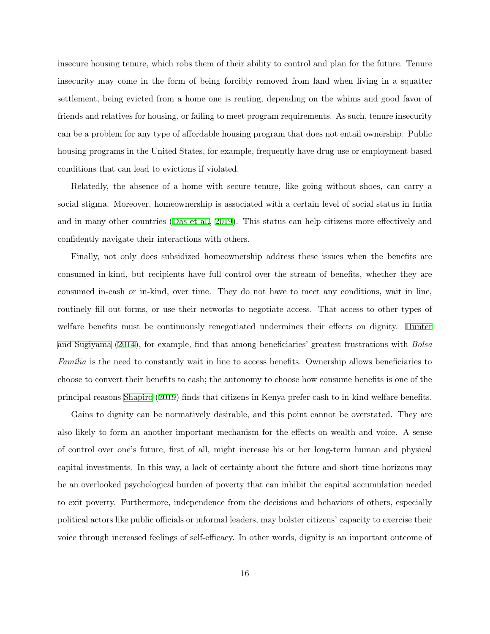insecure housing tenure, which robs them of their ability to control and plan for the future. Tenure insecurity may come in the form of being forcibly removed from land when living in a squatter settlement, being evicted from a home one is renting, depending on the whims and good favor of friends and relatives for housing, or failing to meet program requirements. As such, tenure insecurity can be a problem for any type of affordable housing program that does not entail ownership. Public housing programs in the United States, for example, frequently have drug-use or employment-based conditions that can lead to evictions if violated.

Relatedly, the absence of a home with secure tenure, like going without shoes, can carry a social stigma. Moreover, homeownership is associated with a certain level of social status in India and in many other countries ([Das et al.,](#page-26-15) [2019\)](#page-26-15). This status can help citizens more effectively and confidently navigate their interactions with others.

Finally, not only does subsidized homeownership address these issues when the benefits are consumed in-kind, but recipients have full control over the stream of benefits, whether they are consumed in-cash or in-kind, over time. They do not have to meet any conditions, wait in line, routinely fill out forms, or use their networks to negotiate access. That access to other types of welfare benefits must be continuously renegotiated undermines their effects on dignity. [Hunter](#page-28-13) [and Sugiyama](#page-28-13) [\(2014](#page-28-13)), for example, find that among beneficiaries' greatest frustrations with *Bolsa Família* is the need to constantly wait in line to access benefits. Ownership allows beneficiaries to choose to convert their benefits to cash; the autonomy to choose how consume benefits is one of the principal reasons [Shapiro](#page-29-14) [\(2019\)](#page-29-14) finds that citizens in Kenya prefer cash to in-kind welfare benefits.

Gains to dignity can be normatively desirable, and this point cannot be overstated. They are also likely to form an another important mechanism for the effects on wealth and voice. A sense of control over one's future, first of all, might increase his or her long-term human and physical capital investments. In this way, a lack of certainty about the future and short time-horizons may be an overlooked psychological burden of poverty that can inhibit the capital accumulation needed to exit poverty. Furthermore, independence from the decisions and behaviors of others, especially political actors like public officials or informal leaders, may bolster citizens' capacity to exercise their voice through increased feelings of self-efficacy. In other words, dignity is an important outcome of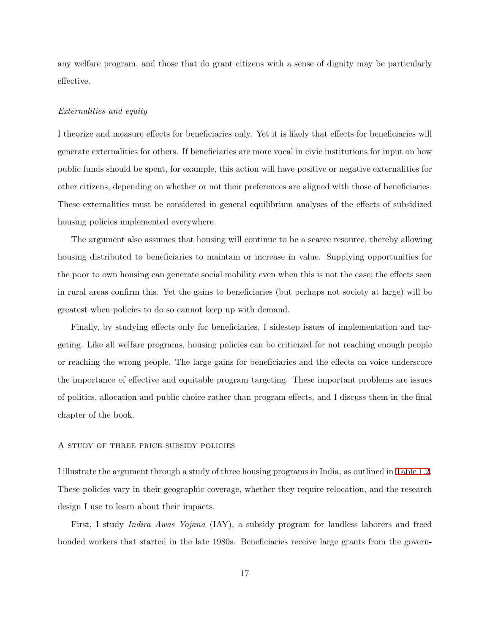any welfare program, and those that do grant citizens with a sense of dignity may be particularly effective.

#### *Externalities and equity*

I theorize and measure effects for beneficiaries only. Yet it is likely that effects for beneficiaries will generate externalities for others. If beneficiaries are more vocal in civic institutions for input on how public funds should be spent, for example, this action will have positive or negative externalities for other citizens, depending on whether or not their preferences are aligned with those of beneficiaries. These externalities must be considered in general equilibrium analyses of the effects of subsidized housing policies implemented everywhere.

The argument also assumes that housing will continue to be a scarce resource, thereby allowing housing distributed to beneficiaries to maintain or increase in value. Supplying opportunities for the poor to own housing can generate social mobility even when this is not the case; the effects seen in rural areas confirm this. Yet the gains to beneficiaries (but perhaps not society at large) will be greatest when policies to do so cannot keep up with demand.

Finally, by studying effects only for beneficiaries, I sidestep issues of implementation and targeting. Like all welfare programs, housing policies can be criticized for not reaching enough people or reaching the wrong people. The large gains for beneficiaries and the effects on voice underscore the importance of effective and equitable program targeting. These important problems are issues of politics, allocation and public choice rather than program effects, and I discuss them in the final chapter of the book.

#### A study of three price-subsidy policies

I illustrate the argument through a study of three housing programs in India, as outlined in [Table 1.2.](#page-19-0) These policies vary in their geographic coverage, whether they require relocation, and the research design I use to learn about their impacts.

First, I study *Indira Awas Yojana* (IAY), a subsidy program for landless laborers and freed bonded workers that started in the late 1980s. Beneficiaries receive large grants from the govern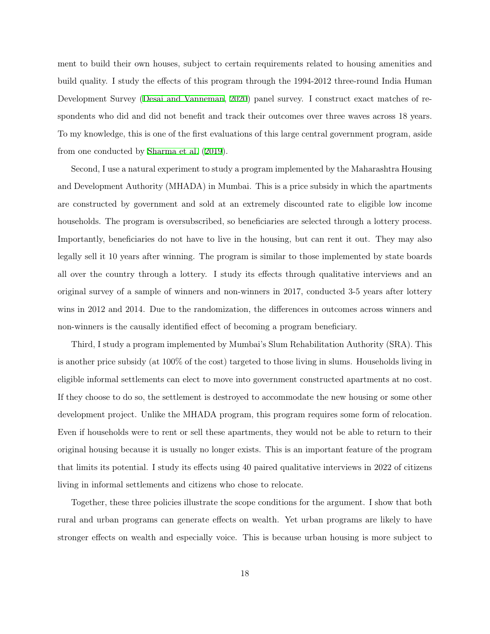ment to build their own houses, subject to certain requirements related to housing amenities and build quality. I study the effects of this program through the 1994-2012 three-round India Human Development Survey [\(Desai and Vanneman](#page-26-0), [2020](#page-26-0)) panel survey. I construct exact matches of respondents who did and did not benefit and track their outcomes over three waves across 18 years. To my knowledge, this is one of the first evaluations of this large central government program, aside from one conducted by [Sharma et al.](#page-29-15) [\(2019\)](#page-29-15).

Second, I use a natural experiment to study a program implemented by the Maharashtra Housing and Development Authority (MHADA) in Mumbai. This is a price subsidy in which the apartments are constructed by government and sold at an extremely discounted rate to eligible low income households. The program is oversubscribed, so beneficiaries are selected through a lottery process. Importantly, beneficiaries do not have to live in the housing, but can rent it out. They may also legally sell it 10 years after winning. The program is similar to those implemented by state boards all over the country through a lottery. I study its effects through qualitative interviews and an original survey of a sample of winners and non-winners in 2017, conducted 3-5 years after lottery wins in 2012 and 2014. Due to the randomization, the differences in outcomes across winners and non-winners is the causally identified effect of becoming a program beneficiary.

Third, I study a program implemented by Mumbai's Slum Rehabilitation Authority (SRA). This is another price subsidy (at 100% of the cost) targeted to those living in slums. Households living in eligible informal settlements can elect to move into government constructed apartments at no cost. If they choose to do so, the settlement is destroyed to accommodate the new housing or some other development project. Unlike the MHADA program, this program requires some form of relocation. Even if households were to rent or sell these apartments, they would not be able to return to their original housing because it is usually no longer exists. This is an important feature of the program that limits its potential. I study its effects using 40 paired qualitative interviews in 2022 of citizens living in informal settlements and citizens who chose to relocate.

Together, these three policies illustrate the scope conditions for the argument. I show that both rural and urban programs can generate effects on wealth. Yet urban programs are likely to have stronger effects on wealth and especially voice. This is because urban housing is more subject to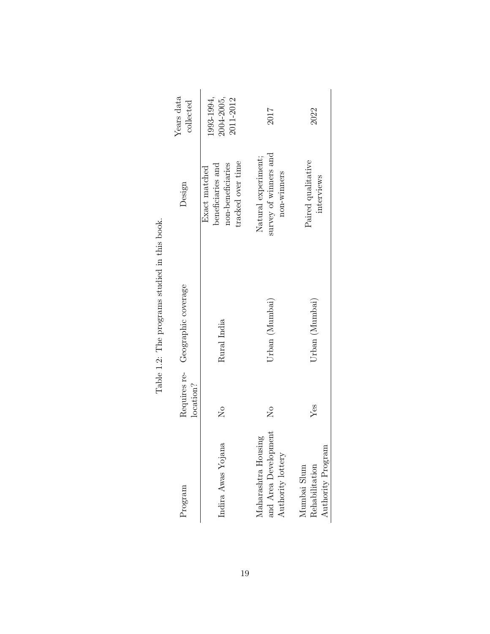| Program                                                          | Requires re-<br>location? | Geographic coverage | Design                                                                       | Years data<br>collected               |
|------------------------------------------------------------------|---------------------------|---------------------|------------------------------------------------------------------------------|---------------------------------------|
| Indira Awas Yojana                                               | $\overline{\mathsf{X}}$   | Rural India         | tracked over time<br>non-beneficiaries<br>beneficiaries and<br>Exact matched | 1993-1994,<br>2004-2005,<br>2011-2012 |
| and Area Development<br>Maharashtra Housing<br>Authority lottery | $\mathcal{S}^{\circ}$     | Urban (Mumbai)      | survey of winners and<br>Natural experiment;<br>non-winners                  | 2017                                  |
| Authority Program<br>Rehabilitation<br>Mumbai Slum               | $Y$ es                    | Urban (Mumbai)      | Paired qualitative<br>interviews                                             | 2022                                  |

<span id="page-19-0"></span>Table 1.2: The programs studied in this book. Table 1.2: The programs studied in this book.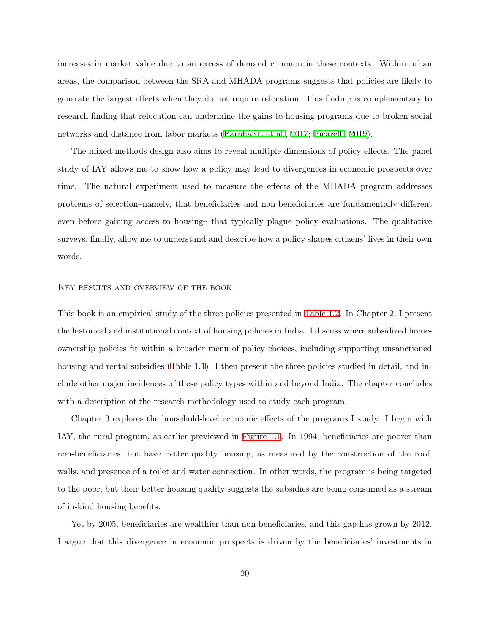increases in market value due to an excess of demand common in these contexts. Within urban areas, the comparison between the SRA and MHADA programs suggests that policies are likely to generate the largest effects when they do not require relocation. This finding is complementary to research finding that relocation can undermine the gains to housing programs due to broken social networks and distance from labor markets ([Barnhardt et al.,](#page-25-5) [2017](#page-25-5); [Picarelli](#page-29-7), [2019\)](#page-29-7).

The mixed-methods design also aims to reveal multiple dimensions of policy effects. The panel study of IAY allows me to show how a policy may lead to divergences in economic prospects over time. The natural experiment used to measure the effects of the MHADA program addresses problems of selection–namely, that beneficiaries and non-beneficiaries are fundamentally different even before gaining access to housing– that typically plague policy evaluations. The qualitative surveys, finally, allow me to understand and describe how a policy shapes citizens' lives in their own words.

#### KEY RESULTS AND OVERVIEW OF THE BOOK

This book is an empirical study of the three policies presented in [Table 1.2](#page-19-0). In Chapter 2, I present the historical and institutional context of housing policies in India. I discuss where subsidized homeownership policies fit within a broader menu of policy choices, including supporting unsanctioned housing and rental subsidies [\(Table 1.1\)](#page-6-0). I then present the three policies studied in detail, and include other major incidences of these policy types within and beyond India. The chapter concludes with a description of the research methodology used to study each program.

Chapter 3 explores the household-level economic effects of the programs I study. I begin with IAY, the rural program, as earlier previewed in [Figure 1.1](#page-3-0). In 1994, beneficiaries are poorer than non-beneficiaries, but have better quality housing, as measured by the construction of the roof, walls, and presence of a toilet and water connection. In other words, the program is being targeted to the poor, but their better housing quality suggests the subsidies are being consumed as a stream of in-kind housing benefits.

Yet by 2005, beneficiaries are wealthier than non-beneficiaries, and this gap has grown by 2012. I argue that this divergence in economic prospects is driven by the beneficiaries' investments in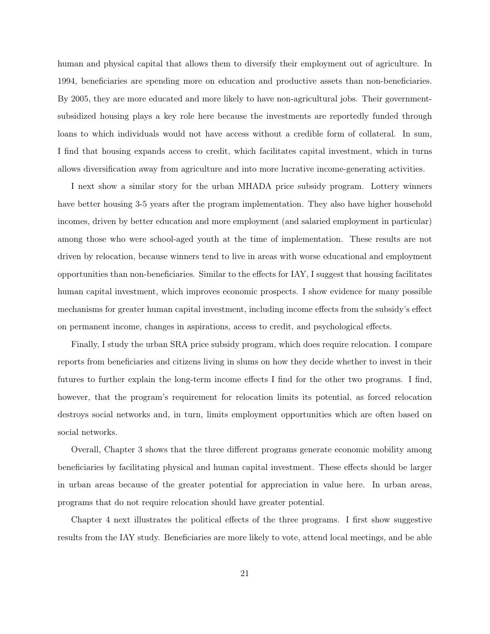human and physical capital that allows them to diversify their employment out of agriculture. In 1994, beneficiaries are spending more on education and productive assets than non-beneficiaries. By 2005, they are more educated and more likely to have non-agricultural jobs. Their governmentsubsidized housing plays a key role here because the investments are reportedly funded through loans to which individuals would not have access without a credible form of collateral. In sum, I find that housing expands access to credit, which facilitates capital investment, which in turns allows diversification away from agriculture and into more lucrative income-generating activities.

I next show a similar story for the urban MHADA price subsidy program. Lottery winners have better housing 3-5 years after the program implementation. They also have higher household incomes, driven by better education and more employment (and salaried employment in particular) among those who were school-aged youth at the time of implementation. These results are not driven by relocation, because winners tend to live in areas with worse educational and employment opportunities than non-beneficiaries. Similar to the effects for IAY, I suggest that housing facilitates human capital investment, which improves economic prospects. I show evidence for many possible mechanisms for greater human capital investment, including income effects from the subsidy's effect on permanent income, changes in aspirations, access to credit, and psychological effects.

Finally, I study the urban SRA price subsidy program, which does require relocation. I compare reports from beneficiaries and citizens living in slums on how they decide whether to invest in their futures to further explain the long-term income effects I find for the other two programs. I find, however, that the program's requirement for relocation limits its potential, as forced relocation destroys social networks and, in turn, limits employment opportunities which are often based on social networks.

Overall, Chapter 3 shows that the three different programs generate economic mobility among beneficiaries by facilitating physical and human capital investment. These effects should be larger in urban areas because of the greater potential for appreciation in value here. In urban areas, programs that do not require relocation should have greater potential.

Chapter 4 next illustrates the political effects of the three programs. I first show suggestive results from the IAY study. Beneficiaries are more likely to vote, attend local meetings, and be able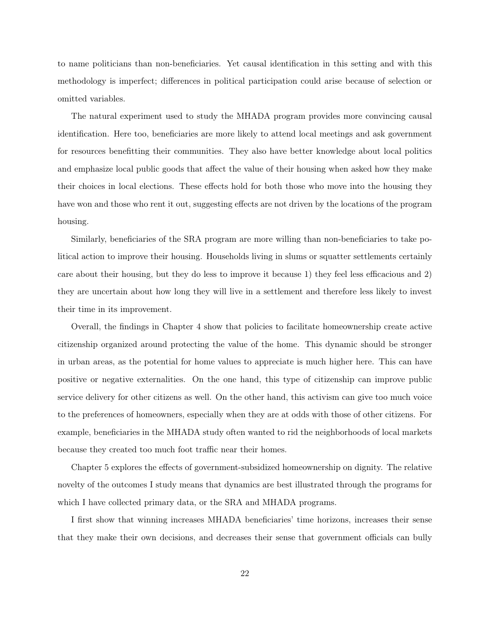to name politicians than non-beneficiaries. Yet causal identification in this setting and with this methodology is imperfect; differences in political participation could arise because of selection or omitted variables.

The natural experiment used to study the MHADA program provides more convincing causal identification. Here too, beneficiaries are more likely to attend local meetings and ask government for resources benefitting their communities. They also have better knowledge about local politics and emphasize local public goods that affect the value of their housing when asked how they make their choices in local elections. These effects hold for both those who move into the housing they have won and those who rent it out, suggesting effects are not driven by the locations of the program housing.

Similarly, beneficiaries of the SRA program are more willing than non-beneficiaries to take political action to improve their housing. Households living in slums or squatter settlements certainly care about their housing, but they do less to improve it because 1) they feel less efficacious and 2) they are uncertain about how long they will live in a settlement and therefore less likely to invest their time in its improvement.

Overall, the findings in Chapter 4 show that policies to facilitate homeownership create active citizenship organized around protecting the value of the home. This dynamic should be stronger in urban areas, as the potential for home values to appreciate is much higher here. This can have positive or negative externalities. On the one hand, this type of citizenship can improve public service delivery for other citizens as well. On the other hand, this activism can give too much voice to the preferences of homeowners, especially when they are at odds with those of other citizens. For example, beneficiaries in the MHADA study often wanted to rid the neighborhoods of local markets because they created too much foot traffic near their homes.

Chapter 5 explores the effects of government-subsidized homeownership on dignity. The relative novelty of the outcomes I study means that dynamics are best illustrated through the programs for which I have collected primary data, or the SRA and MHADA programs.

I first show that winning increases MHADA beneficiaries' time horizons, increases their sense that they make their own decisions, and decreases their sense that government officials can bully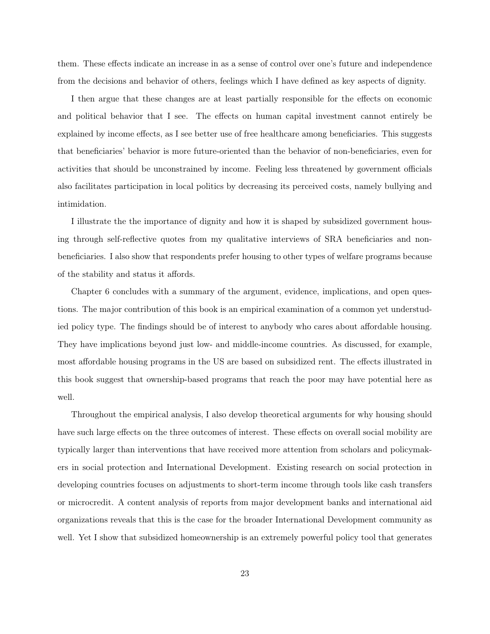them. These effects indicate an increase in as a sense of control over one's future and independence from the decisions and behavior of others, feelings which I have defined as key aspects of dignity.

I then argue that these changes are at least partially responsible for the effects on economic and political behavior that I see. The effects on human capital investment cannot entirely be explained by income effects, as I see better use of free healthcare among beneficiaries. This suggests that beneficiaries' behavior is more future-oriented than the behavior of non-beneficiaries, even for activities that should be unconstrained by income. Feeling less threatened by government officials also facilitates participation in local politics by decreasing its perceived costs, namely bullying and intimidation.

I illustrate the the importance of dignity and how it is shaped by subsidized government housing through self-reflective quotes from my qualitative interviews of SRA beneficiaries and nonbeneficiaries. I also show that respondents prefer housing to other types of welfare programs because of the stability and status it affords.

Chapter 6 concludes with a summary of the argument, evidence, implications, and open questions. The major contribution of this book is an empirical examination of a common yet understudied policy type. The findings should be of interest to anybody who cares about affordable housing. They have implications beyond just low- and middle-income countries. As discussed, for example, most affordable housing programs in the US are based on subsidized rent. The effects illustrated in this book suggest that ownership-based programs that reach the poor may have potential here as well.

Throughout the empirical analysis, I also develop theoretical arguments for why housing should have such large effects on the three outcomes of interest. These effects on overall social mobility are typically larger than interventions that have received more attention from scholars and policymakers in social protection and International Development. Existing research on social protection in developing countries focuses on adjustments to short-term income through tools like cash transfers or microcredit. A content analysis of reports from major development banks and international aid organizations reveals that this is the case for the broader International Development community as well. Yet I show that subsidized homeownership is an extremely powerful policy tool that generates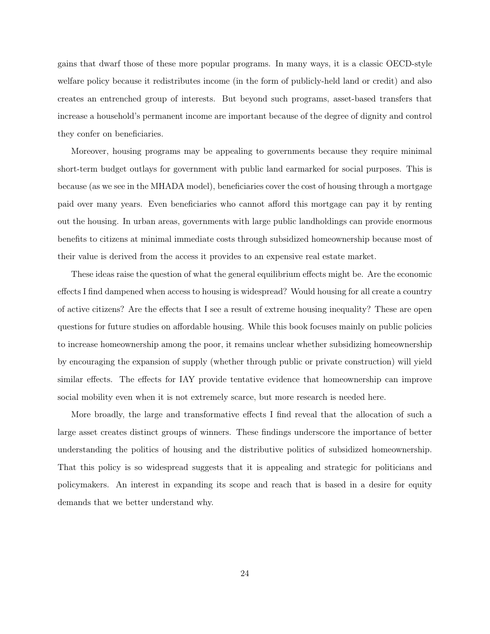gains that dwarf those of these more popular programs. In many ways, it is a classic OECD-style welfare policy because it redistributes income (in the form of publicly-held land or credit) and also creates an entrenched group of interests. But beyond such programs, asset-based transfers that increase a household's permanent income are important because of the degree of dignity and control they confer on beneficiaries.

Moreover, housing programs may be appealing to governments because they require minimal short-term budget outlays for government with public land earmarked for social purposes. This is because (as we see in the MHADA model), beneficiaries cover the cost of housing through a mortgage paid over many years. Even beneficiaries who cannot afford this mortgage can pay it by renting out the housing. In urban areas, governments with large public landholdings can provide enormous benefits to citizens at minimal immediate costs through subsidized homeownership because most of their value is derived from the access it provides to an expensive real estate market.

These ideas raise the question of what the general equilibrium effects might be. Are the economic effects I find dampened when access to housing is widespread? Would housing for all create a country of active citizens? Are the effects that I see a result of extreme housing inequality? These are open questions for future studies on affordable housing. While this book focuses mainly on public policies to increase homeownership among the poor, it remains unclear whether subsidizing homeownership by encouraging the expansion of supply (whether through public or private construction) will yield similar effects. The effects for IAY provide tentative evidence that homeownership can improve social mobility even when it is not extremely scarce, but more research is needed here.

More broadly, the large and transformative effects I find reveal that the allocation of such a large asset creates distinct groups of winners. These findings underscore the importance of better understanding the politics of housing and the distributive politics of subsidized homeownership. That this policy is so widespread suggests that it is appealing and strategic for politicians and policymakers. An interest in expanding its scope and reach that is based in a desire for equity demands that we better understand why.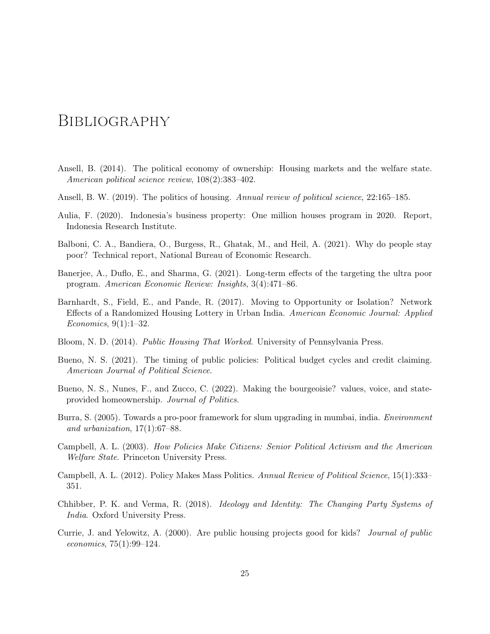### **BIBLIOGRAPHY**

- <span id="page-25-12"></span>Ansell, B. (2014). The political economy of ownership: Housing markets and the welfare state. *American political science review*, 108(2):383–402.
- <span id="page-25-4"></span>Ansell, B. W. (2019). The politics of housing. *Annual review of political science*, 22:165–185.
- <span id="page-25-7"></span>Aulia, F. (2020). Indonesia's business property: One million houses program in 2020. Report, Indonesia Research Institute.
- <span id="page-25-9"></span>Balboni, C. A., Bandiera, O., Burgess, R., Ghatak, M., and Heil, A. (2021). Why do people stay poor? Technical report, National Bureau of Economic Research.
- <span id="page-25-10"></span>Banerjee, A., Duflo, E., and Sharma, G. (2021). Long-term effects of the targeting the ultra poor program. *American Economic Review: Insights*, 3(4):471–86.
- <span id="page-25-5"></span>Barnhardt, S., Field, E., and Pande, R. (2017). Moving to Opportunity or Isolation? Network Effects of a Randomized Housing Lottery in Urban India. *American Economic Journal: Applied Economics*, 9(1):1–32.
- <span id="page-25-2"></span>Bloom, N. D. (2014). *Public Housing That Worked*. University of Pennsylvania Press.
- <span id="page-25-6"></span>Bueno, N. S. (2021). The timing of public policies: Political budget cycles and credit claiming. *American Journal of Political Science*.
- <span id="page-25-8"></span>Bueno, N. S., Nunes, F., and Zucco, C. (2022). Making the bourgeoisie? values, voice, and stateprovided homeownership. *Journal of Politics*.
- <span id="page-25-1"></span>Burra, S. (2005). Towards a pro-poor framework for slum upgrading in mumbai, india. *Environment and urbanization*, 17(1):67–88.
- <span id="page-25-11"></span>Campbell, A. L. (2003). *How Policies Make Citizens: Senior Political Activism and the American Welfare State*. Princeton University Press.
- <span id="page-25-13"></span>Campbell, A. L. (2012). Policy Makes Mass Politics. *Annual Review of Political Science*, 15(1):333– 351.
- <span id="page-25-0"></span>Chhibber, P. K. and Verma, R. (2018). *Ideology and Identity: The Changing Party Systems of India*. Oxford University Press.
- <span id="page-25-3"></span>Currie, J. and Yelowitz, A. (2000). Are public housing projects good for kids? *Journal of public economics*, 75(1):99–124.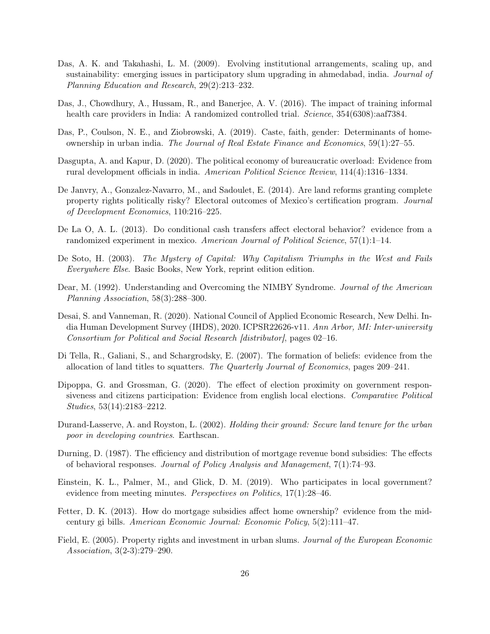- <span id="page-26-6"></span>Das, A. K. and Takahashi, L. M. (2009). Evolving institutional arrangements, scaling up, and sustainability: emerging issues in participatory slum upgrading in ahmedabad, india. *Journal of Planning Education and Research*, 29(2):213–232.
- <span id="page-26-7"></span>Das, J., Chowdhury, A., Hussam, R., and Banerjee, A. V. (2016). The impact of training informal health care providers in India: A randomized controlled trial. *Science*, 354(6308):aaf7384.
- <span id="page-26-15"></span>Das, P., Coulson, N. E., and Ziobrowski, A. (2019). Caste, faith, gender: Determinants of homeownership in urban india. *The Journal of Real Estate Finance and Economics*, 59(1):27–55.
- <span id="page-26-10"></span>Dasgupta, A. and Kapur, D. (2020). The political economy of bureaucratic overload: Evidence from rural development officials in india. *American Political Science Review*, 114(4):1316–1334.
- <span id="page-26-2"></span>De Janvry, A., Gonzalez-Navarro, M., and Sadoulet, E. (2014). Are land reforms granting complete property rights politically risky? Electoral outcomes of Mexico's certification program. *Journal of Development Economics*, 110:216–225.
- <span id="page-26-12"></span>De La O, A. L. (2013). Do conditional cash transfers affect electoral behavior? evidence from a randomized experiment in mexico. *American Journal of Political Science*, 57(1):1–14.
- <span id="page-26-1"></span>De Soto, H. (2003). *The Mystery of Capital: Why Capitalism Triumphs in the West and Fails Everywhere Else*. Basic Books, New York, reprint edition edition.
- <span id="page-26-13"></span>Dear, M. (1992). Understanding and Overcoming the NIMBY Syndrome. *Journal of the American Planning Association*, 58(3):288–300.
- <span id="page-26-0"></span>Desai, S. and Vanneman, R. (2020). National Council of Applied Economic Research, New Delhi. India Human Development Survey (IHDS), 2020. ICPSR22626-v11. *Ann Arbor, MI: Inter-university Consortium for Political and Social Research [distributor]*, pages 02–16.
- <span id="page-26-3"></span>Di Tella, R., Galiani, S., and Schargrodsky, E. (2007). The formation of beliefs: evidence from the allocation of land titles to squatters. *The Quarterly Journal of Economics*, pages 209–241.
- <span id="page-26-11"></span>Dipoppa, G. and Grossman, G. (2020). The effect of election proximity on government responsiveness and citizens participation: Evidence from english local elections. *Comparative Political Studies*, 53(14):2183–2212.
- <span id="page-26-5"></span>Durand-Lasserve, A. and Royston, L. (2002). *Holding their ground: Secure land tenure for the urban poor in developing countries*. Earthscan.
- <span id="page-26-8"></span>Durning, D. (1987). The efficiency and distribution of mortgage revenue bond subsidies: The effects of behavioral responses. *Journal of Policy Analysis and Management*, 7(1):74–93.
- <span id="page-26-14"></span>Einstein, K. L., Palmer, M., and Glick, D. M. (2019). Who participates in local government? evidence from meeting minutes. *Perspectives on Politics*, 17(1):28–46.
- <span id="page-26-9"></span>Fetter, D. K. (2013). How do mortgage subsidies affect home ownership? evidence from the midcentury gi bills. *American Economic Journal: Economic Policy*, 5(2):111–47.
- <span id="page-26-4"></span>Field, E. (2005). Property rights and investment in urban slums. *Journal of the European Economic Association*, 3(2-3):279–290.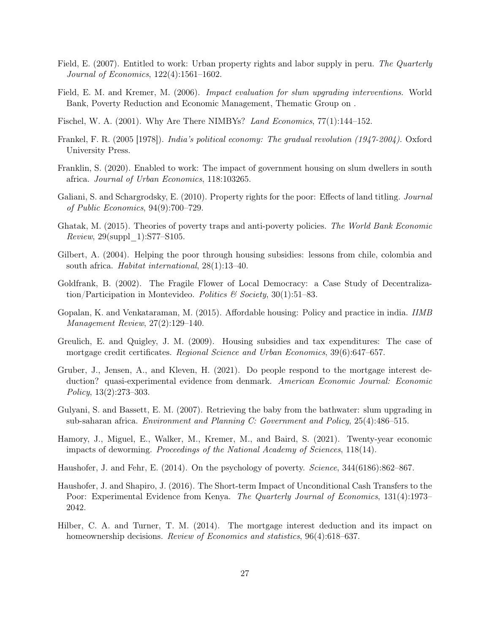- <span id="page-27-2"></span>Field, E. (2007). Entitled to work: Urban property rights and labor supply in peru. *The Quarterly Journal of Economics*, 122(4):1561–1602.
- <span id="page-27-4"></span>Field, E. M. and Kremer, M. (2006). *Impact evaluation for slum upgrading interventions*. World Bank, Poverty Reduction and Economic Management, Thematic Group on .
- <span id="page-27-16"></span>Fischel, W. A. (2001). Why Are There NIMBYs? *Land Economics*, 77(1):144–152.
- <span id="page-27-1"></span>Frankel, F. R. (2005 [1978]). *India's political economy: The gradual revolution (1947-2004)*. Oxford University Press.
- <span id="page-27-7"></span>Franklin, S. (2020). Enabled to work: The impact of government housing on slum dwellers in south africa. *Journal of Urban Economics*, 118:103265.
- <span id="page-27-3"></span>Galiani, S. and Schargrodsky, E. (2010). Property rights for the poor: Effects of land titling. *Journal of Public Economics*, 94(9):700–729.
- <span id="page-27-13"></span>Ghatak, M. (2015). Theories of poverty traps and anti-poverty policies. *The World Bank Economic Review*, 29(suppl\_1):S77–S105.
- <span id="page-27-6"></span>Gilbert, A. (2004). Helping the poor through housing subsidies: lessons from chile, colombia and south africa. *Habitat international*, 28(1):13–40.
- <span id="page-27-15"></span>Goldfrank, B. (2002). The Fragile Flower of Local Democracy: a Case Study of Decentralization/Participation in Montevideo. *Politics & Society*, 30(1):51–83.
- <span id="page-27-0"></span>Gopalan, K. and Venkataraman, M. (2015). Affordable housing: Policy and practice in india. *IIMB Management Review*, 27(2):129–140.
- <span id="page-27-8"></span>Greulich, E. and Quigley, J. M. (2009). Housing subsidies and tax expenditures: The case of mortgage credit certificates. *Regional Science and Urban Economics*, 39(6):647–657.
- <span id="page-27-9"></span>Gruber, J., Jensen, A., and Kleven, H. (2021). Do people respond to the mortgage interest deduction? quasi-experimental evidence from denmark. *American Economic Journal: Economic Policy*, 13(2):273–303.
- <span id="page-27-5"></span>Gulyani, S. and Bassett, E. M. (2007). Retrieving the baby from the bathwater: slum upgrading in sub-saharan africa. *Environment and Planning C: Government and Policy*, 25(4):486–515.
- <span id="page-27-14"></span>Hamory, J., Miguel, E., Walker, M., Kremer, M., and Baird, S. (2021). Twenty-year economic impacts of deworming. *Proceedings of the National Academy of Sciences*, 118(14).
- <span id="page-27-11"></span>Haushofer, J. and Fehr, E. (2014). On the psychology of poverty. *Science*, 344(6186):862–867.
- <span id="page-27-12"></span>Haushofer, J. and Shapiro, J. (2016). The Short-term Impact of Unconditional Cash Transfers to the Poor: Experimental Evidence from Kenya. *The Quarterly Journal of Economics*, 131(4):1973– 2042.
- <span id="page-27-10"></span>Hilber, C. A. and Turner, T. M. (2014). The mortgage interest deduction and its impact on homeownership decisions. *Review of Economics and statistics*, 96(4):618–637.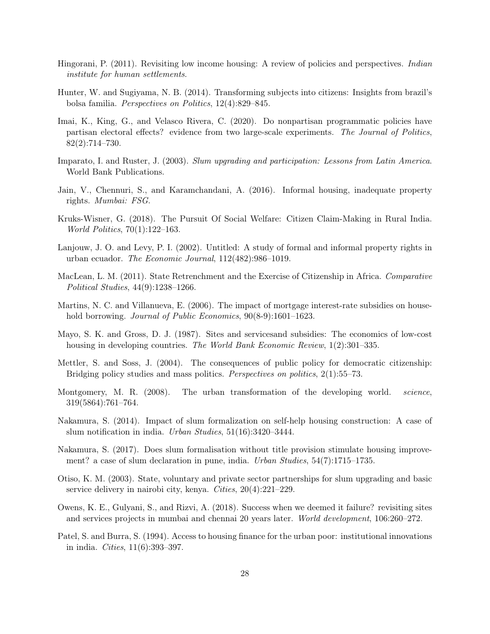- <span id="page-28-0"></span>Hingorani, P. (2011). Revisiting low income housing: A review of policies and perspectives. *Indian institute for human settlements*.
- <span id="page-28-13"></span>Hunter, W. and Sugiyama, N. B. (2014). Transforming subjects into citizens: Insights from brazil's bolsa familia. *Perspectives on Politics*, 12(4):829–845.
- <span id="page-28-15"></span>Imai, K., King, G., and Velasco Rivera, C. (2020). Do nonpartisan programmatic policies have partisan electoral effects? evidence from two large-scale experiments. *The Journal of Politics*, 82(2):714–730.
- <span id="page-28-7"></span>Imparato, I. and Ruster, J. (2003). *Slum upgrading and participation: Lessons from Latin America*. World Bank Publications.
- <span id="page-28-2"></span>Jain, V., Chennuri, S., and Karamchandani, A. (2016). Informal housing, inadequate property rights. *Mumbai: FSG*.
- <span id="page-28-14"></span>Kruks-Wisner, G. (2018). The Pursuit Of Social Welfare: Citizen Claim-Making in Rural India. *World Politics*, 70(1):122–163.
- <span id="page-28-5"></span>Lanjouw, J. O. and Levy, P. I. (2002). Untitled: A study of formal and informal property rights in urban ecuador. *The Economic Journal*, 112(482):986–1019.
- <span id="page-28-12"></span>MacLean, L. M. (2011). State Retrenchment and the Exercise of Citizenship in Africa. *Comparative Political Studies*, 44(9):1238–1266.
- <span id="page-28-11"></span>Martins, N. C. and Villanueva, E. (2006). The impact of mortgage interest-rate subsidies on household borrowing. *Journal of Public Economics*, 90(8-9):1601–1623.
- <span id="page-28-9"></span>Mayo, S. K. and Gross, D. J. (1987). Sites and servicesand subsidies: The economics of low-cost housing in developing countries. *The World Bank Economic Review*, 1(2):301–335.
- <span id="page-28-16"></span>Mettler, S. and Soss, J. (2004). The consequences of public policy for democratic citizenship: Bridging policy studies and mass politics. *Perspectives on politics*, 2(1):55–73.
- <span id="page-28-1"></span>Montgomery, M. R. (2008). The urban transformation of the developing world. *science*, 319(5864):761–764.
- <span id="page-28-3"></span>Nakamura, S. (2014). Impact of slum formalization on self-help housing construction: A case of slum notification in india. *Urban Studies*, 51(16):3420–3444.
- <span id="page-28-4"></span>Nakamura, S. (2017). Does slum formalisation without title provision stimulate housing improvement? a case of slum declaration in pune, india. *Urban Studies*, 54(7):1715–1735.
- <span id="page-28-6"></span>Otiso, K. M. (2003). State, voluntary and private sector partnerships for slum upgrading and basic service delivery in nairobi city, kenya. *Cities*, 20(4):221–229.
- <span id="page-28-8"></span>Owens, K. E., Gulyani, S., and Rizvi, A. (2018). Success when we deemed it failure? revisiting sites and services projects in mumbai and chennai 20 years later. *World development*, 106:260–272.
- <span id="page-28-10"></span>Patel, S. and Burra, S. (1994). Access to housing finance for the urban poor: institutional innovations in india. *Cities*, 11(6):393–397.